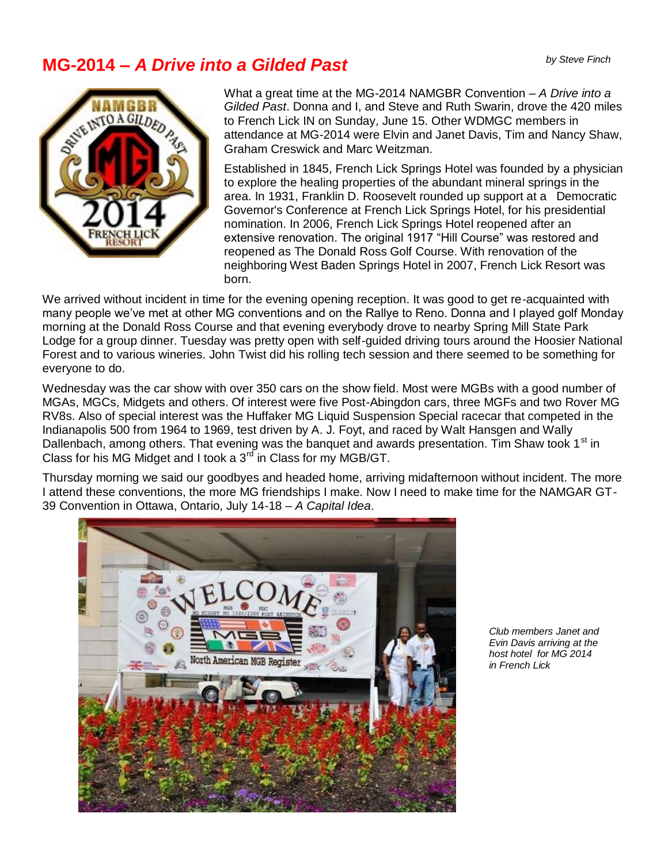## *by Steve Finch* **MG-2014 –** *A Drive into a Gilded Past*



What a great time at the MG-2014 NAMGBR Convention – *A Drive into a Gilded Past*. Donna and I, and Steve and Ruth Swarin, drove the 420 miles to French Lick IN on Sunday, June 15. Other WDMGC members in attendance at MG-2014 were Elvin and Janet Davis, Tim and Nancy Shaw, Graham Creswick and Marc Weitzman.

Established in 1845, French Lick Springs Hotel was founded by a physician to explore the healing properties of the abundant mineral springs in the area. In 1931, Franklin D. Roosevelt rounded up support at a Democratic Governor's Conference at French Lick Springs Hotel, for his presidential nomination. In 2006, French Lick Springs Hotel reopened after an extensive renovation. The original 1917 "Hill Course" was restored and reopened as The Donald Ross Golf Course. With renovation of the neighboring West Baden Springs Hotel in 2007, French Lick Resort was born.

We arrived without incident in time for the evening opening reception. It was good to get re-acquainted with many people we've met at other MG conventions and on the Rallye to Reno. Donna and I played golf Monday morning at the Donald Ross Course and that evening everybody drove to nearby Spring Mill State Park Lodge for a group dinner. Tuesday was pretty open with self-guided driving tours around the Hoosier National Forest and to various wineries. John Twist did his rolling tech session and there seemed to be something for everyone to do.

Wednesday was the car show with over 350 cars on the show field. Most were MGBs with a good number of MGAs, MGCs, Midgets and others. Of interest were five Post-Abingdon cars, three MGFs and two Rover MG RV8s. Also of special interest was the Huffaker MG Liquid Suspension Special racecar that competed in the Indianapolis 500 from 1964 to 1969, test driven by A. J. Foyt, and raced by Walt Hansgen and Wally Dallenbach, among others. That evening was the banquet and awards presentation. Tim Shaw took 1<sup>st</sup> in Class for his MG Midget and I took a  $3<sup>rd</sup>$  in Class for my MGB/GT.

Thursday morning we said our goodbyes and headed home, arriving midafternoon without incident. The more I attend these conventions, the more MG friendships I make. Now I need to make time for the NAMGAR GT-39 Convention in Ottawa, Ontario, July 14-18 – *A Capital Idea*.



*Club members Janet and Evin Davis arriving at the host hotel for MG 2014 in French Lick*